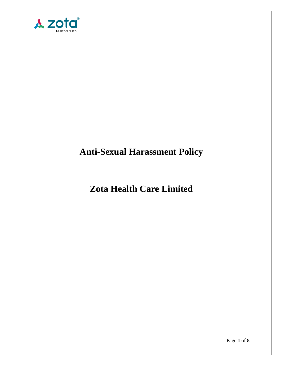

# **Anti-Sexual Harassment Policy**

## **Zota Health Care Limited**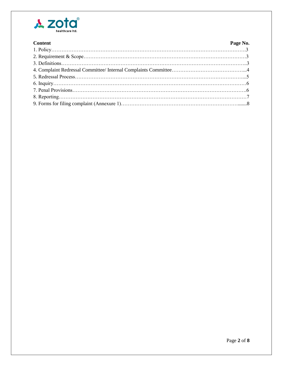

| <b>Content</b> | Page No. |
|----------------|----------|
|                |          |
|                |          |
|                |          |
|                |          |
|                |          |
|                |          |
|                |          |
|                |          |
|                |          |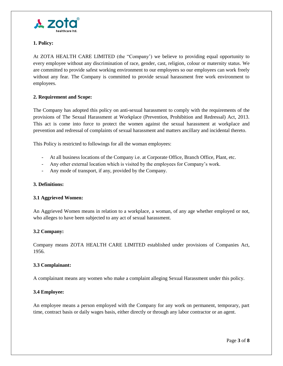

#### **1. Policy:**

At ZOTA HEALTH CARE LIMITED (the "Company') we believe to providing equal opportunity to every employee without any discrimination of race, gender, cast, religion, colour or maternity status. We are committed to provide safest working environment to our employees so our employees can work freely without any fear. The Company is committed to provide sexual harassment free work environment to employees.

#### **2. Requirement and Scope:**

The Company has adopted this policy on anti-sexual harassment to comply with the requirements of the provisions of The Sexual Harassment at Workplace (Prevention, Prohibition and Redressal) Act, 2013. This act is come into force to protect the women against the sexual harassment at workplace and prevention and redressal of complaints of sexual harassment and matters ancillary and incidental thereto.

This Policy is restricted to followings for all the woman employees:

- At all business locations of the Company i.e. at Corporate Office, Branch Office, Plant, etc.
- Any other external location which is visited by the employees for Company's work.
- Any mode of transport, if any, provided by the Company.

#### **3. Definitions:**

#### **3.1 Aggrieved Women:**

An Aggrieved Women means in relation to a workplace, a woman, of any age whether employed or not, who alleges to have been subjected to any act of sexual harassment.

#### **3.2 Company:**

Company means ZOTA HEALTH CARE LIMITED established under provisions of Companies Act, 1956.

#### **3.3 Complainant:**

A complainant means any women who make a complaint alleging Sexual Harassment under this policy.

#### **3.4 Employee:**

An employee means a person employed with the Company for any work on permanent, temporary, part time, contract basis or daily wages basis, either directly or through any labor contractor or an agent.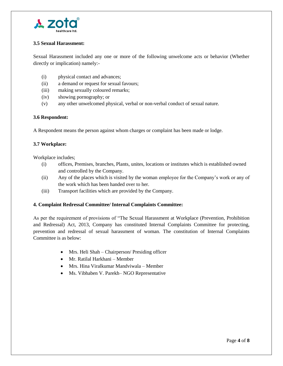

#### **3.5 Sexual Harassment:**

Sexual Harassment included any one or more of the following unwelcome acts or behavior (Whether directly or implication) namely:-

- (i) physical contact and advances;
- (ii) a demand or request for sexual favours;
- (iii) making sexually coloured remarks;
- (iv) showing pornography; or
- (v) any other unwelcomed physical, verbal or non-verbal conduct of sexual nature.

#### **3.6 Respondent:**

A Respondent means the person against whom charges or complaint has been made or lodge.

#### **3.7 Workplace:**

Workplace includes;

- (i) offices, Premises, branches, Plants, unites, locations or institutes which is established owned and controlled by the Company.
- (ii) Any of the places which is visited by the woman employee for the Company's work or any of the work which has been handed over to her.
- (iii) Transport facilities which are provided by the Company.

#### **4. Complaint Redressal Committee/ Internal Complaints Committee:**

As per the requirement of provisions of "The Sexual Harassment at Workplace (Prevention, Prohibition and Redressal) Act, 2013, Company has constituted Internal Complaints Committee for protecting, prevention and redressal of sexual harassment of woman. The constitution of Internal Complaints Committee is as below:

- Mrs. Heli Shah Chairperson/ Presiding officer
- Mr. Ratilal Harkhani Member
- Mrs. Hina Viralkumar Mandviwala Member
- Ms. Vibhaben V. Parekh– NGO Representative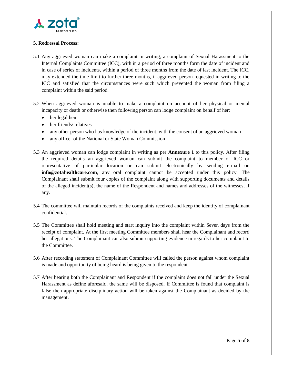

### **5. Redressal Process:**

- 5.1 Any aggrieved woman can make a complaint in writing, a complaint of Sexual Harassment to the Internal Complaints Committee (ICC), with in a period of three months form the date of incident and in case of series of incidents, within a period of three months from the date of last incident. The ICC, may extended the time limit to further three months, if aggrieved person requested in writing to the ICC and satisfied that the circumstances were such which prevented the woman from filing a complaint within the said period.
- 5.2 When aggrieved woman is unable to make a complaint on account of her physical or mental incapacity or death or otherwise then following person can lodge complaint on behalf of her:
	- her legal heir
	- her friends/ relatives
	- any other person who has knowledge of the incident, with the consent of an aggrieved woman
	- any officer of the National or State Woman Commission
- 5.3 An aggrieved woman can lodge complaint in writing as per **Annexure 1** to this policy. After filing the required details an aggrieved woman can submit the complaint to member of ICC or representative of particular location or can submit electronically by sending e-mail on **info@zotahealthcare.com**, any oral complaint cannot be accepted under this policy. The Complainant shall submit four copies of the complaint along with supporting documents and details of the alleged incident(s), the name of the Respondent and names and addresses of the witnesses, if any.
- 5.4 The committee will maintain records of the complaints received and keep the identity of complainant confidential.
- 5.5 The Committee shall hold meeting and start inquiry into the complaint within Seven days from the receipt of complaint. At the first meeting Committee members shall hear the Complainant and record her allegations. The Complainant can also submit supporting evidence in regards to her complaint to the Committee.
- 5.6 After recording statement of Complainant Committee will called the person against whom complaint is made and opportunity of being heard is being given to the respondent.
- 5.7 After hearing both the Complainant and Respondent if the complaint does not fall under the Sexual Harassment as define aforesaid, the same will be disposed. If Committee is found that complaint is false then appropriate disciplinary action will be taken against the Complainant as decided by the management.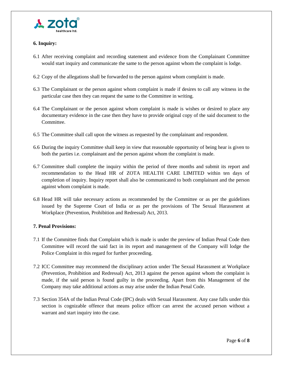

#### **6. Inquiry:**

- 6.1 After receiving complaint and recording statement and evidence from the Complainant Committee would start inquiry and communicate the same to the person against whom the complaint is lodge.
- 6.2 Copy of the allegations shall be forwarded to the person against whom complaint is made.
- 6.3 The Complainant or the person against whom complaint is made if desires to call any witness in the particular case then they can request the same to the Committee in writing.
- 6.4 The Complainant or the person against whom complaint is made is wishes or desired to place any documentary evidence in the case then they have to provide original copy of the said document to the Committee.
- 6.5 The Committee shall call upon the witness as requested by the complainant and respondent.
- 6.6 During the inquiry Committee shall keep in view that reasonable opportunity of being hear is given to both the parties i.e. complainant and the person against whom the complaint is made.
- 6.7 Committee shall complete the inquiry within the period of three months and submit its report and recommendation to the Head HR of ZOTA HEALTH CARE LIMITED within ten days of completion of inquiry. Inquiry report shall also be communicated to both complainant and the person against whom complaint is made.
- 6.8 Head HR will take necessary actions as recommended by the Committee or as per the guidelines issued by the Supreme Court of India or as per the provisions of The Sexual Harassment at Workplace (Prevention, Prohibition and Redressal) Act, 2013.

#### **7. Penal Provisions:**

- 7.1 If the Committee finds that Complaint which is made is under the preview of Indian Penal Code then Committee will record the said fact in its report and management of the Company will lodge the Police Complaint in this regard for further proceeding.
- 7.2 ICC Committee may recommend the disciplinary action under The Sexual Harassment at Workplace (Prevention, Prohibition and Redressal) Act, 2013 against the person against whom the complaint is made, if the said person is found guilty in the proceeding. Apart from this Management of the Company may take additional actions as may arise under the Indian Penal Code.
- 7.3 Section 354A of the Indian Penal Code (IPC) deals with Sexual Harassment. Any case falls under this section is cognizable offence that means police officer can arrest the accused person without a warrant and start inquiry into the case.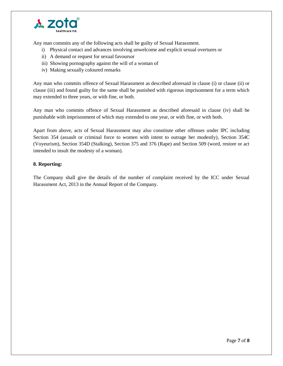

Any man commits any of the following acts shall be guilty of Sexual Harassment.

- i) Physical contact and advances involving unwelcome and explicit sexual overtures or
- ii) A demand or request for sexual favoursor
- iii) Showing pornography against the will of a woman of
- iv) Making sexually coloured remarks

Any man who commits offence of Sexual Harassment as described aforesaid in clause (i) or clause (ii) or clause (iii) and found guilty for the same shall be punished with rigorous imprisonment for a term which may extended to three years, or with fine, or both.

Any man who commits offence of Sexual Harassment as described aforesaid in clause (iv) shall be punishable with imprisonment of which may extended to one year, or with fine, or with both.

Apart from above, acts of Sexual Harassment may also constitute other offenses under IPC including Section 354 (assault or criminal force to women with intent to outrage her modestly), Section 354C (Voyeurism), Section 354D (Stalking), Section 375 and 376 (Rape) and Section 509 (word, restore or act intended to insult the modesty of a woman).

#### **8. Reporting:**

The Company shall give the details of the number of complaint received by the ICC under Sexual Harassment Act, 2013 in the Annual Report of the Company.